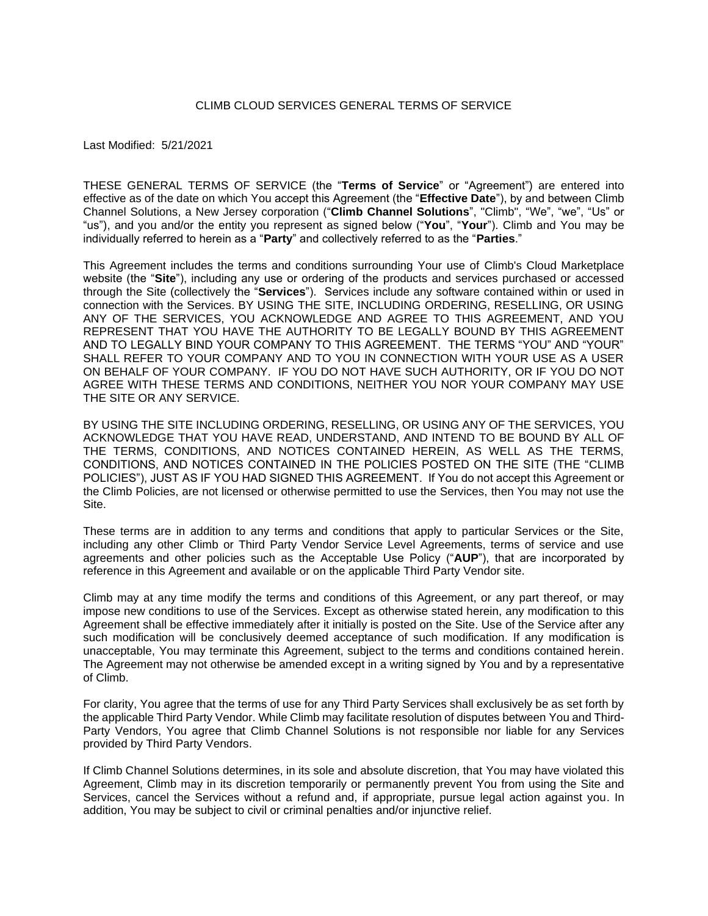#### CLIMB CLOUD SERVICES GENERAL TERMS OF SERVICE

Last Modified: 5/21/2021

THESE GENERAL TERMS OF SERVICE (the "**Terms of Service**" or "Agreement") are entered into effective as of the date on which You accept this Agreement (the "**Effective Date**"), by and between Climb Channel Solutions, a New Jersey corporation ("**Climb Channel Solutions**", "Climb", "We", "we", "Us" or "us"), and you and/or the entity you represent as signed below ("**You**", "**Your**"). Climb and You may be individually referred to herein as a "**Party**" and collectively referred to as the "**Parties**."

This Agreement includes the terms and conditions surrounding Your use of Climb's Cloud Marketplace website (the "**Site**"), including any use or ordering of the products and services purchased or accessed through the Site (collectively the "**Services**"). Services include any software contained within or used in connection with the Services. BY USING THE SITE, INCLUDING ORDERING, RESELLING, OR USING ANY OF THE SERVICES, YOU ACKNOWLEDGE AND AGREE TO THIS AGREEMENT, AND YOU REPRESENT THAT YOU HAVE THE AUTHORITY TO BE LEGALLY BOUND BY THIS AGREEMENT AND TO LEGALLY BIND YOUR COMPANY TO THIS AGREEMENT. THE TERMS "YOU" AND "YOUR" SHALL REFER TO YOUR COMPANY AND TO YOU IN CONNECTION WITH YOUR USE AS A USER ON BEHALF OF YOUR COMPANY. IF YOU DO NOT HAVE SUCH AUTHORITY, OR IF YOU DO NOT AGREE WITH THESE TERMS AND CONDITIONS, NEITHER YOU NOR YOUR COMPANY MAY USE THE SITE OR ANY SERVICE.

BY USING THE SITE INCLUDING ORDERING, RESELLING, OR USING ANY OF THE SERVICES, YOU ACKNOWLEDGE THAT YOU HAVE READ, UNDERSTAND, AND INTEND TO BE BOUND BY ALL OF THE TERMS, CONDITIONS, AND NOTICES CONTAINED HEREIN, AS WELL AS THE TERMS, CONDITIONS, AND NOTICES CONTAINED IN THE POLICIES POSTED ON THE SITE (THE "CLIMB POLICIES"), JUST AS IF YOU HAD SIGNED THIS AGREEMENT. If You do not accept this Agreement or the Climb Policies, are not licensed or otherwise permitted to use the Services, then You may not use the Site.

These terms are in addition to any terms and conditions that apply to particular Services or the Site, including any other Climb or Third Party Vendor Service Level Agreements, terms of service and use agreements and other policies such as the Acceptable Use Policy ("**AUP**"), that are incorporated by reference in this Agreement and available or on the applicable Third Party Vendor site.

Climb may at any time modify the terms and conditions of this Agreement, or any part thereof, or may impose new conditions to use of the Services. Except as otherwise stated herein, any modification to this Agreement shall be effective immediately after it initially is posted on the Site. Use of the Service after any such modification will be conclusively deemed acceptance of such modification. If any modification is unacceptable, You may terminate this Agreement, subject to the terms and conditions contained herein. The Agreement may not otherwise be amended except in a writing signed by You and by a representative of Climb.

For clarity, You agree that the terms of use for any Third Party Services shall exclusively be as set forth by the applicable Third Party Vendor. While Climb may facilitate resolution of disputes between You and Third-Party Vendors, You agree that Climb Channel Solutions is not responsible nor liable for any Services provided by Third Party Vendors.

If Climb Channel Solutions determines, in its sole and absolute discretion, that You may have violated this Agreement, Climb may in its discretion temporarily or permanently prevent You from using the Site and Services, cancel the Services without a refund and, if appropriate, pursue legal action against you. In addition, You may be subject to civil or criminal penalties and/or injunctive relief.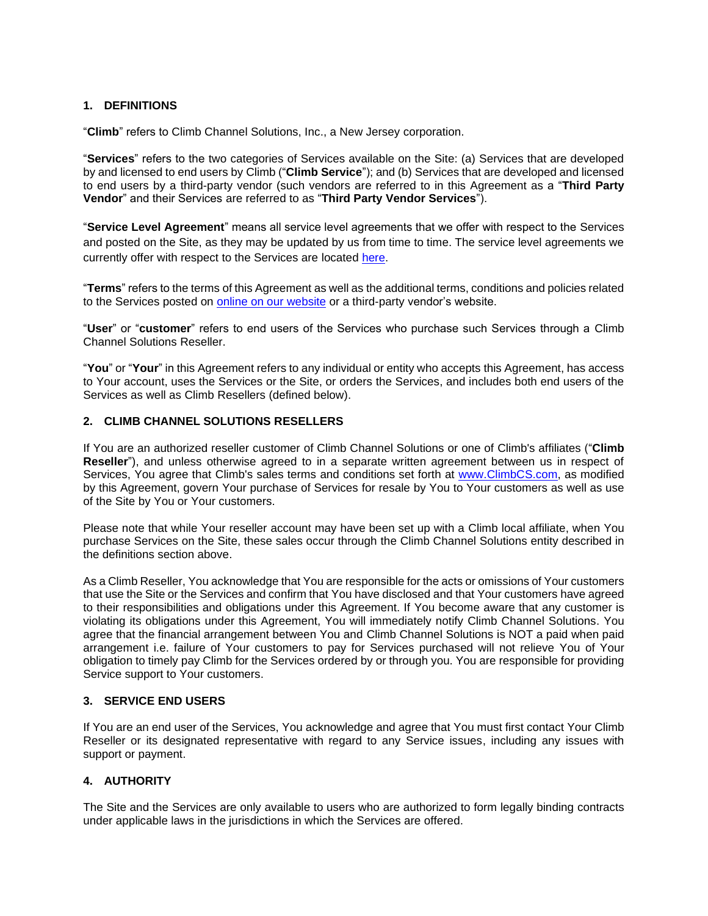# **1. DEFINITIONS**

"**Climb**" refers to Climb Channel Solutions, Inc., a New Jersey corporation.

"**Services**" refers to the two categories of Services available on the Site: (a) Services that are developed by and licensed to end users by Climb ("**Climb Service**"); and (b) Services that are developed and licensed to end users by a third-party vendor (such vendors are referred to in this Agreement as a "**Third Party Vendor**" and their Services are referred to as "**Third Party Vendor Services**").

"**Service Level Agreement**" means all service level agreements that we offer with respect to the Services and posted on the Site, as they may be updated by us from time to time. The service level agreements we currently offer with respect to the Services are located [here.](https://www.climbcs.com/site/content/terms)

"**Terms**" refers to the terms of this Agreement as well as the additional terms, conditions and policies related to the Services posted on [online on our website](https://www.climbcs.com/site/content/terms) or a third-party vendor's website.

"**User**" or "**customer**" refers to end users of the Services who purchase such Services through a Climb Channel Solutions Reseller.

"**You**" or "**Your**" in this Agreement refers to any individual or entity who accepts this Agreement, has access to Your account, uses the Services or the Site, or orders the Services, and includes both end users of the Services as well as Climb Resellers (defined below).

## **2. CLIMB CHANNEL SOLUTIONS RESELLERS**

If You are an authorized reseller customer of Climb Channel Solutions or one of Climb's affiliates ("**Climb Reseller**"), and unless otherwise agreed to in a separate written agreement between us in respect of Services, You agree that Climb's sales terms and conditions set forth at [www.ClimbCS.com,](http://www.climbcs.com/) as modified by this Agreement, govern Your purchase of Services for resale by You to Your customers as well as use of the Site by You or Your customers.

Please note that while Your reseller account may have been set up with a Climb local affiliate, when You purchase Services on the Site, these sales occur through the Climb Channel Solutions entity described in the definitions section above.

As a Climb Reseller, You acknowledge that You are responsible for the acts or omissions of Your customers that use the Site or the Services and confirm that You have disclosed and that Your customers have agreed to their responsibilities and obligations under this Agreement. If You become aware that any customer is violating its obligations under this Agreement, You will immediately notify Climb Channel Solutions. You agree that the financial arrangement between You and Climb Channel Solutions is NOT a paid when paid arrangement i.e. failure of Your customers to pay for Services purchased will not relieve You of Your obligation to timely pay Climb for the Services ordered by or through you. You are responsible for providing Service support to Your customers.

### **3. SERVICE END USERS**

If You are an end user of the Services, You acknowledge and agree that You must first contact Your Climb Reseller or its designated representative with regard to any Service issues, including any issues with support or payment.

# **4. AUTHORITY**

The Site and the Services are only available to users who are authorized to form legally binding contracts under applicable laws in the jurisdictions in which the Services are offered.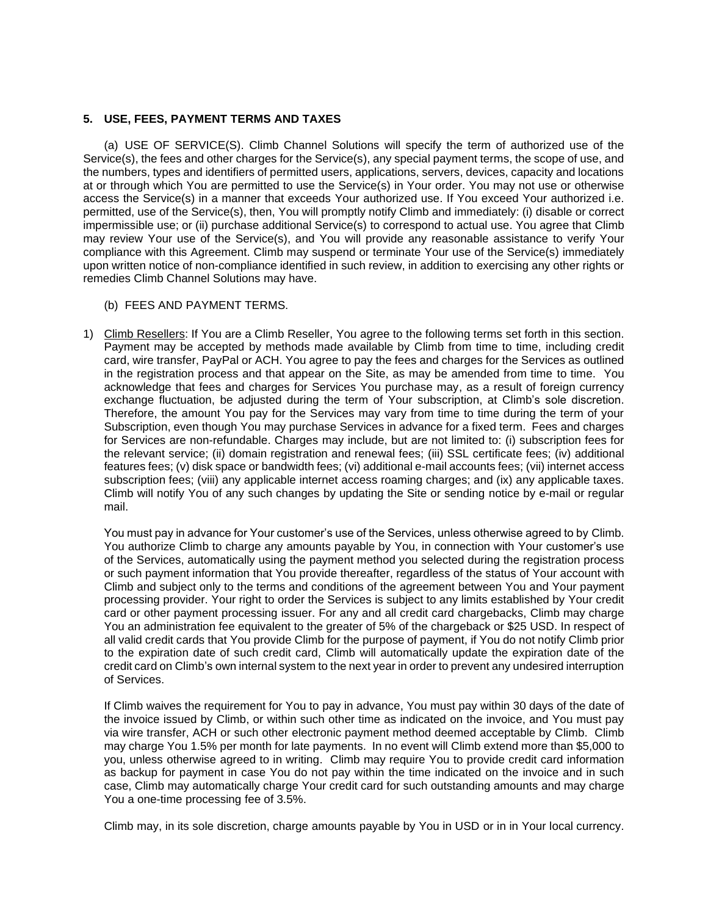#### **5. USE, FEES, PAYMENT TERMS AND TAXES**

(a) USE OF SERVICE(S). Climb Channel Solutions will specify the term of authorized use of the Service(s), the fees and other charges for the Service(s), any special payment terms, the scope of use, and the numbers, types and identifiers of permitted users, applications, servers, devices, capacity and locations at or through which You are permitted to use the Service(s) in Your order. You may not use or otherwise access the Service(s) in a manner that exceeds Your authorized use. If You exceed Your authorized i.e. permitted, use of the Service(s), then, You will promptly notify Climb and immediately: (i) disable or correct impermissible use; or (ii) purchase additional Service(s) to correspond to actual use. You agree that Climb may review Your use of the Service(s), and You will provide any reasonable assistance to verify Your compliance with this Agreement. Climb may suspend or terminate Your use of the Service(s) immediately upon written notice of non-compliance identified in such review, in addition to exercising any other rights or remedies Climb Channel Solutions may have.

- (b) FEES AND PAYMENT TERMS.
- 1) Climb Resellers: If You are a Climb Reseller, You agree to the following terms set forth in this section. Payment may be accepted by methods made available by Climb from time to time, including credit card, wire transfer, PayPal or ACH. You agree to pay the fees and charges for the Services as outlined in the registration process and that appear on the Site, as may be amended from time to time. You acknowledge that fees and charges for Services You purchase may, as a result of foreign currency exchange fluctuation, be adjusted during the term of Your subscription, at Climb's sole discretion. Therefore, the amount You pay for the Services may vary from time to time during the term of your Subscription, even though You may purchase Services in advance for a fixed term. Fees and charges for Services are non-refundable. Charges may include, but are not limited to: (i) subscription fees for the relevant service; (ii) domain registration and renewal fees; (iii) SSL certificate fees; (iv) additional features fees; (v) disk space or bandwidth fees; (vi) additional e-mail accounts fees; (vii) internet access subscription fees; (viii) any applicable internet access roaming charges; and (ix) any applicable taxes. Climb will notify You of any such changes by updating the Site or sending notice by e-mail or regular mail.

You must pay in advance for Your customer's use of the Services, unless otherwise agreed to by Climb. You authorize Climb to charge any amounts payable by You, in connection with Your customer's use of the Services, automatically using the payment method you selected during the registration process or such payment information that You provide thereafter, regardless of the status of Your account with Climb and subject only to the terms and conditions of the agreement between You and Your payment processing provider. Your right to order the Services is subject to any limits established by Your credit card or other payment processing issuer. For any and all credit card chargebacks, Climb may charge You an administration fee equivalent to the greater of 5% of the chargeback or \$25 USD. In respect of all valid credit cards that You provide Climb for the purpose of payment, if You do not notify Climb prior to the expiration date of such credit card, Climb will automatically update the expiration date of the credit card on Climb's own internal system to the next year in order to prevent any undesired interruption of Services.

If Climb waives the requirement for You to pay in advance, You must pay within 30 days of the date of the invoice issued by Climb, or within such other time as indicated on the invoice, and You must pay via wire transfer, ACH or such other electronic payment method deemed acceptable by Climb. Climb may charge You 1.5% per month for late payments. In no event will Climb extend more than \$5,000 to you, unless otherwise agreed to in writing. Climb may require You to provide credit card information as backup for payment in case You do not pay within the time indicated on the invoice and in such case, Climb may automatically charge Your credit card for such outstanding amounts and may charge You a one-time processing fee of 3.5%.

Climb may, in its sole discretion, charge amounts payable by You in USD or in in Your local currency.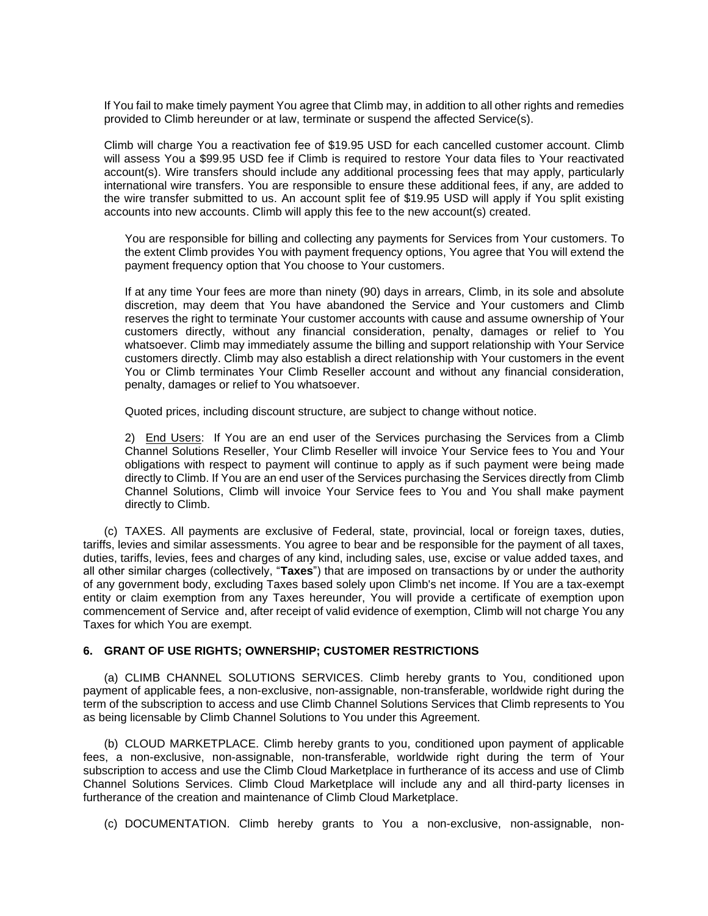If You fail to make timely payment You agree that Climb may, in addition to all other rights and remedies provided to Climb hereunder or at law, terminate or suspend the affected Service(s).

Climb will charge You a reactivation fee of \$19.95 USD for each cancelled customer account. Climb will assess You a \$99.95 USD fee if Climb is required to restore Your data files to Your reactivated account(s). Wire transfers should include any additional processing fees that may apply, particularly international wire transfers. You are responsible to ensure these additional fees, if any, are added to the wire transfer submitted to us. An account split fee of \$19.95 USD will apply if You split existing accounts into new accounts. Climb will apply this fee to the new account(s) created.

You are responsible for billing and collecting any payments for Services from Your customers. To the extent Climb provides You with payment frequency options, You agree that You will extend the payment frequency option that You choose to Your customers.

If at any time Your fees are more than ninety (90) days in arrears, Climb, in its sole and absolute discretion, may deem that You have abandoned the Service and Your customers and Climb reserves the right to terminate Your customer accounts with cause and assume ownership of Your customers directly, without any financial consideration, penalty, damages or relief to You whatsoever. Climb may immediately assume the billing and support relationship with Your Service customers directly. Climb may also establish a direct relationship with Your customers in the event You or Climb terminates Your Climb Reseller account and without any financial consideration, penalty, damages or relief to You whatsoever.

Quoted prices, including discount structure, are subject to change without notice.

2) End Users: If You are an end user of the Services purchasing the Services from a Climb Channel Solutions Reseller, Your Climb Reseller will invoice Your Service fees to You and Your obligations with respect to payment will continue to apply as if such payment were being made directly to Climb. If You are an end user of the Services purchasing the Services directly from Climb Channel Solutions, Climb will invoice Your Service fees to You and You shall make payment directly to Climb.

(c) TAXES. All payments are exclusive of Federal, state, provincial, local or foreign taxes, duties, tariffs, levies and similar assessments. You agree to bear and be responsible for the payment of all taxes, duties, tariffs, levies, fees and charges of any kind, including sales, use, excise or value added taxes, and all other similar charges (collectively, "**Taxes**") that are imposed on transactions by or under the authority of any government body, excluding Taxes based solely upon Climb's net income. If You are a tax-exempt entity or claim exemption from any Taxes hereunder, You will provide a certificate of exemption upon commencement of Service and, after receipt of valid evidence of exemption, Climb will not charge You any Taxes for which You are exempt.

### **6. GRANT OF USE RIGHTS; OWNERSHIP; CUSTOMER RESTRICTIONS**

(a) CLIMB CHANNEL SOLUTIONS SERVICES. Climb hereby grants to You, conditioned upon payment of applicable fees, a non-exclusive, non-assignable, non-transferable, worldwide right during the term of the subscription to access and use Climb Channel Solutions Services that Climb represents to You as being licensable by Climb Channel Solutions to You under this Agreement.

(b) CLOUD MARKETPLACE. Climb hereby grants to you, conditioned upon payment of applicable fees, a non-exclusive, non-assignable, non-transferable, worldwide right during the term of Your subscription to access and use the Climb Cloud Marketplace in furtherance of its access and use of Climb Channel Solutions Services. Climb Cloud Marketplace will include any and all third-party licenses in furtherance of the creation and maintenance of Climb Cloud Marketplace.

(c) DOCUMENTATION. Climb hereby grants to You a non-exclusive, non-assignable, non-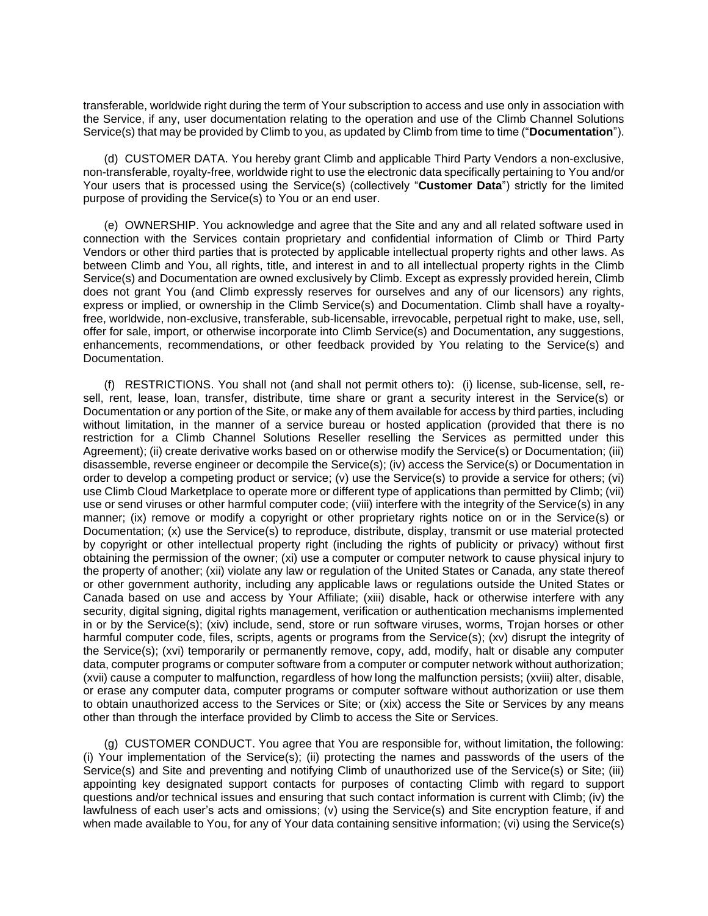transferable, worldwide right during the term of Your subscription to access and use only in association with the Service, if any, user documentation relating to the operation and use of the Climb Channel Solutions Service(s) that may be provided by Climb to you, as updated by Climb from time to time ("**Documentation**").

(d) CUSTOMER DATA. You hereby grant Climb and applicable Third Party Vendors a non-exclusive, non-transferable, royalty-free, worldwide right to use the electronic data specifically pertaining to You and/or Your users that is processed using the Service(s) (collectively "**Customer Data**") strictly for the limited purpose of providing the Service(s) to You or an end user.

(e) OWNERSHIP. You acknowledge and agree that the Site and any and all related software used in connection with the Services contain proprietary and confidential information of Climb or Third Party Vendors or other third parties that is protected by applicable intellectual property rights and other laws. As between Climb and You, all rights, title, and interest in and to all intellectual property rights in the Climb Service(s) and Documentation are owned exclusively by Climb. Except as expressly provided herein, Climb does not grant You (and Climb expressly reserves for ourselves and any of our licensors) any rights, express or implied, or ownership in the Climb Service(s) and Documentation. Climb shall have a royaltyfree, worldwide, non-exclusive, transferable, sub-licensable, irrevocable, perpetual right to make, use, sell, offer for sale, import, or otherwise incorporate into Climb Service(s) and Documentation, any suggestions, enhancements, recommendations, or other feedback provided by You relating to the Service(s) and Documentation.

(f) RESTRICTIONS. You shall not (and shall not permit others to): (i) license, sub-license, sell, resell, rent, lease, loan, transfer, distribute, time share or grant a security interest in the Service(s) or Documentation or any portion of the Site, or make any of them available for access by third parties, including without limitation, in the manner of a service bureau or hosted application (provided that there is no restriction for a Climb Channel Solutions Reseller reselling the Services as permitted under this Agreement); (ii) create derivative works based on or otherwise modify the Service(s) or Documentation; (iii) disassemble, reverse engineer or decompile the Service(s); (iv) access the Service(s) or Documentation in order to develop a competing product or service; (v) use the Service(s) to provide a service for others; (vi) use Climb Cloud Marketplace to operate more or different type of applications than permitted by Climb; (vii) use or send viruses or other harmful computer code; (viii) interfere with the integrity of the Service(s) in any manner; (ix) remove or modify a copyright or other proprietary rights notice on or in the Service(s) or Documentation; (x) use the Service(s) to reproduce, distribute, display, transmit or use material protected by copyright or other intellectual property right (including the rights of publicity or privacy) without first obtaining the permission of the owner; (xi) use a computer or computer network to cause physical injury to the property of another; (xii) violate any law or regulation of the United States or Canada, any state thereof or other government authority, including any applicable laws or regulations outside the United States or Canada based on use and access by Your Affiliate; (xiii) disable, hack or otherwise interfere with any security, digital signing, digital rights management, verification or authentication mechanisms implemented in or by the Service(s); (xiv) include, send, store or run software viruses, worms, Trojan horses or other harmful computer code, files, scripts, agents or programs from the Service(s); (xv) disrupt the integrity of the Service(s); (xvi) temporarily or permanently remove, copy, add, modify, halt or disable any computer data, computer programs or computer software from a computer or computer network without authorization; (xvii) cause a computer to malfunction, regardless of how long the malfunction persists; (xviii) alter, disable, or erase any computer data, computer programs or computer software without authorization or use them to obtain unauthorized access to the Services or Site; or (xix) access the Site or Services by any means other than through the interface provided by Climb to access the Site or Services.

(g) CUSTOMER CONDUCT. You agree that You are responsible for, without limitation, the following: (i) Your implementation of the Service(s); (ii) protecting the names and passwords of the users of the Service(s) and Site and preventing and notifying Climb of unauthorized use of the Service(s) or Site; (iii) appointing key designated support contacts for purposes of contacting Climb with regard to support questions and/or technical issues and ensuring that such contact information is current with Climb; (iv) the lawfulness of each user's acts and omissions; (v) using the Service(s) and Site encryption feature, if and when made available to You, for any of Your data containing sensitive information; (vi) using the Service(s)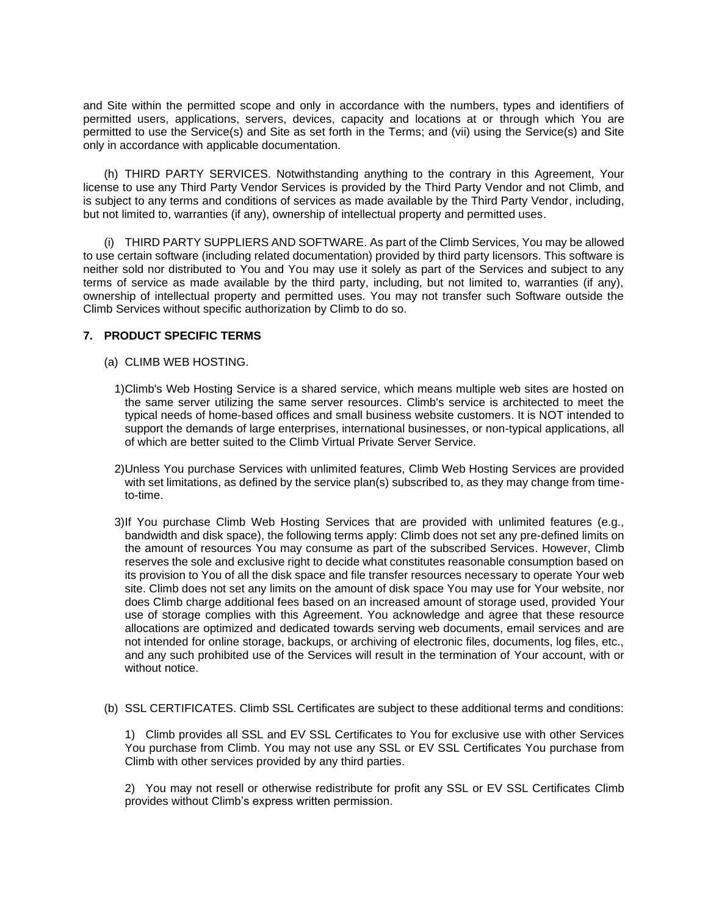and Site within the permitted scope and only in accordance with the numbers, types and identifiers of permitted users, applications, servers, devices, capacity and locations at or through which You are permitted to use the Service(s) and Site as set forth in the Terms; and (vii) using the Service(s) and Site only in accordance with applicable documentation.

(h) THIRD PARTY SERVICES. Notwithstanding anything to the contrary in this Agreement, Your license to use any Third Party Vendor Services is provided by the Third Party Vendor and not Climb, and is subject to any terms and conditions of services as made available by the Third Party Vendor, including, but not limited to, warranties (if any), ownership of intellectual property and permitted uses.

(i) THIRD PARTY SUPPLIERS AND SOFTWARE. As part of the Climb Services, You may be allowed to use certain software (including related documentation) provided by third party licensors. This software is neither sold nor distributed to You and You may use it solely as part of the Services and subject to any terms of service as made available by the third party, including, but not limited to, warranties (if any), ownership of intellectual property and permitted uses. You may not transfer such Software outside the Climb Services without specific authorization by Climb to do so.

## **7. PRODUCT SPECIFIC TERMS**

- (a) CLIMB WEB HOSTING.
	- 1)Climb's Web Hosting Service is a shared service, which means multiple web sites are hosted on the same server utilizing the same server resources. Climb's service is architected to meet the typical needs of home-based offices and small business website customers. It is NOT intended to support the demands of large enterprises, international businesses, or non-typical applications, all of which are better suited to the Climb Virtual Private Server Service.
	- 2)Unless You purchase Services with unlimited features, Climb Web Hosting Services are provided with set limitations, as defined by the service plan(s) subscribed to, as they may change from timeto-time.
	- 3)If You purchase Climb Web Hosting Services that are provided with unlimited features (e.g., bandwidth and disk space), the following terms apply: Climb does not set any pre-defined limits on the amount of resources You may consume as part of the subscribed Services. However, Climb reserves the sole and exclusive right to decide what constitutes reasonable consumption based on its provision to You of all the disk space and file transfer resources necessary to operate Your web site. Climb does not set any limits on the amount of disk space You may use for Your website, nor does Climb charge additional fees based on an increased amount of storage used, provided Your use of storage complies with this Agreement. You acknowledge and agree that these resource allocations are optimized and dedicated towards serving web documents, email services and are not intended for online storage, backups, or archiving of electronic files, documents, log files, etc., and any such prohibited use of the Services will result in the termination of Your account, with or without notice.
- (b) SSL CERTIFICATES. Climb SSL Certificates are subject to these additional terms and conditions:

1) Climb provides all SSL and EV SSL Certificates to You for exclusive use with other Services You purchase from Climb. You may not use any SSL or EV SSL Certificates You purchase from Climb with other services provided by any third parties.

2) You may not resell or otherwise redistribute for profit any SSL or EV SSL Certificates Climb provides without Climb's express written permission.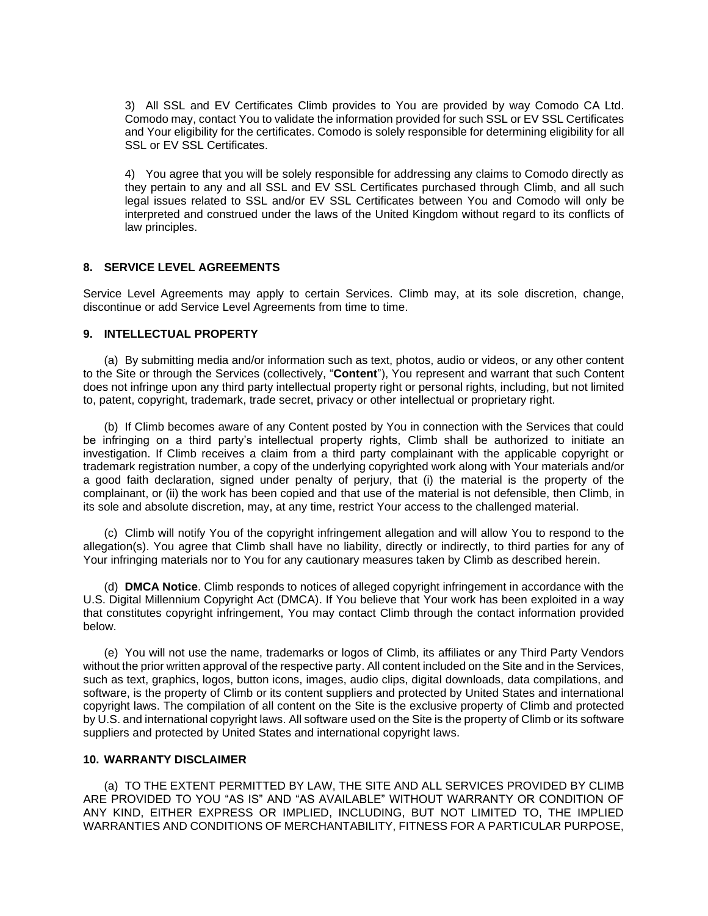3) All SSL and EV Certificates Climb provides to You are provided by way Comodo CA Ltd. Comodo may, contact You to validate the information provided for such SSL or EV SSL Certificates and Your eligibility for the certificates. Comodo is solely responsible for determining eligibility for all SSL or EV SSL Certificates.

4) You agree that you will be solely responsible for addressing any claims to Comodo directly as they pertain to any and all SSL and EV SSL Certificates purchased through Climb, and all such legal issues related to SSL and/or EV SSL Certificates between You and Comodo will only be interpreted and construed under the laws of the United Kingdom without regard to its conflicts of law principles.

### **8. SERVICE LEVEL AGREEMENTS**

Service Level Agreements may apply to certain Services. Climb may, at its sole discretion, change, discontinue or add Service Level Agreements from time to time.

#### **9. INTELLECTUAL PROPERTY**

(a) By submitting media and/or information such as text, photos, audio or videos, or any other content to the Site or through the Services (collectively, "**Content**"), You represent and warrant that such Content does not infringe upon any third party intellectual property right or personal rights, including, but not limited to, patent, copyright, trademark, trade secret, privacy or other intellectual or proprietary right.

(b) If Climb becomes aware of any Content posted by You in connection with the Services that could be infringing on a third party's intellectual property rights, Climb shall be authorized to initiate an investigation. If Climb receives a claim from a third party complainant with the applicable copyright or trademark registration number, a copy of the underlying copyrighted work along with Your materials and/or a good faith declaration, signed under penalty of perjury, that (i) the material is the property of the complainant, or (ii) the work has been copied and that use of the material is not defensible, then Climb, in its sole and absolute discretion, may, at any time, restrict Your access to the challenged material.

(c) Climb will notify You of the copyright infringement allegation and will allow You to respond to the allegation(s). You agree that Climb shall have no liability, directly or indirectly, to third parties for any of Your infringing materials nor to You for any cautionary measures taken by Climb as described herein.

(d) **DMCA Notice**. Climb responds to notices of alleged copyright infringement in accordance with the U.S. Digital Millennium Copyright Act (DMCA). If You believe that Your work has been exploited in a way that constitutes copyright infringement, You may contact Climb through the contact information provided below.

(e) You will not use the name, trademarks or logos of Climb, its affiliates or any Third Party Vendors without the prior written approval of the respective party. All content included on the Site and in the Services, such as text, graphics, logos, button icons, images, audio clips, digital downloads, data compilations, and software, is the property of Climb or its content suppliers and protected by United States and international copyright laws. The compilation of all content on the Site is the exclusive property of Climb and protected by U.S. and international copyright laws. All software used on the Site is the property of Climb or its software suppliers and protected by United States and international copyright laws.

### **10. WARRANTY DISCLAIMER**

(a) TO THE EXTENT PERMITTED BY LAW, THE SITE AND ALL SERVICES PROVIDED BY CLIMB ARE PROVIDED TO YOU "AS IS" AND "AS AVAILABLE" WITHOUT WARRANTY OR CONDITION OF ANY KIND, EITHER EXPRESS OR IMPLIED, INCLUDING, BUT NOT LIMITED TO, THE IMPLIED WARRANTIES AND CONDITIONS OF MERCHANTABILITY, FITNESS FOR A PARTICULAR PURPOSE,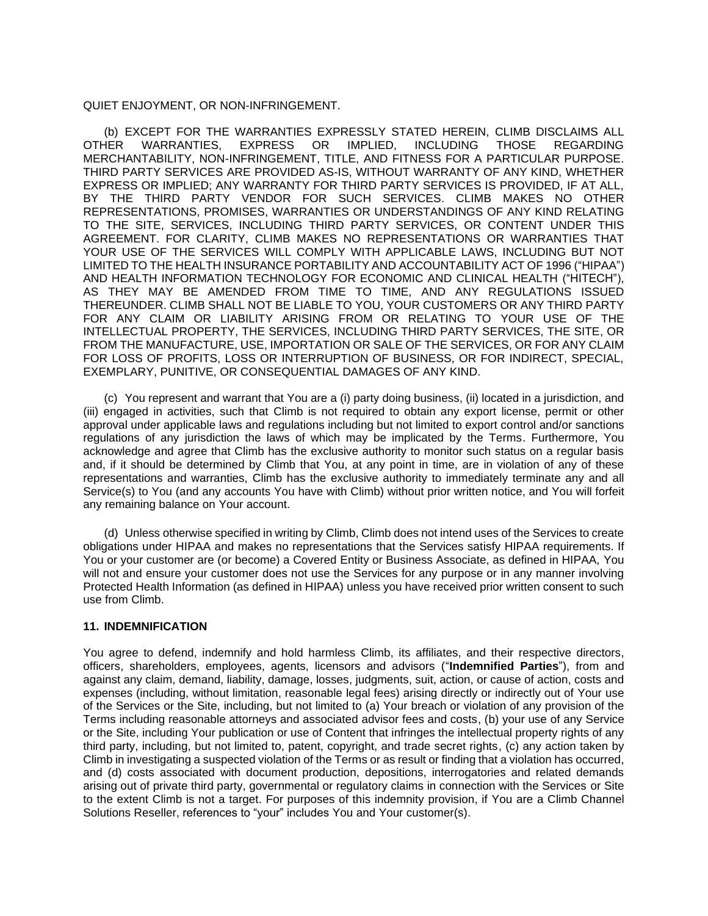QUIET ENJOYMENT, OR NON-INFRINGEMENT.

(b) EXCEPT FOR THE WARRANTIES EXPRESSLY STATED HEREIN, CLIMB DISCLAIMS ALL<br>HER WARRANTIES, EXPRESS OR IMPLIED, INCLUDING THOSE REGARDING OTHER WARRANTIES, EXPRESS OR IMPLIED, INCLUDING THOSE REGARDING MERCHANTABILITY, NON-INFRINGEMENT, TITLE, AND FITNESS FOR A PARTICULAR PURPOSE. THIRD PARTY SERVICES ARE PROVIDED AS-IS, WITHOUT WARRANTY OF ANY KIND, WHETHER EXPRESS OR IMPLIED; ANY WARRANTY FOR THIRD PARTY SERVICES IS PROVIDED, IF AT ALL, BY THE THIRD PARTY VENDOR FOR SUCH SERVICES. CLIMB MAKES NO OTHER REPRESENTATIONS, PROMISES, WARRANTIES OR UNDERSTANDINGS OF ANY KIND RELATING TO THE SITE, SERVICES, INCLUDING THIRD PARTY SERVICES, OR CONTENT UNDER THIS AGREEMENT. FOR CLARITY, CLIMB MAKES NO REPRESENTATIONS OR WARRANTIES THAT YOUR USE OF THE SERVICES WILL COMPLY WITH APPLICABLE LAWS, INCLUDING BUT NOT LIMITED TO THE HEALTH INSURANCE PORTABILITY AND ACCOUNTABILITY ACT OF 1996 ("HIPAA") AND HEALTH INFORMATION TECHNOLOGY FOR ECONOMIC AND CLINICAL HEALTH ("HITECH"), AS THEY MAY BE AMENDED FROM TIME TO TIME, AND ANY REGULATIONS ISSUED THEREUNDER. CLIMB SHALL NOT BE LIABLE TO YOU, YOUR CUSTOMERS OR ANY THIRD PARTY FOR ANY CLAIM OR LIABILITY ARISING FROM OR RELATING TO YOUR USE OF THE INTELLECTUAL PROPERTY, THE SERVICES, INCLUDING THIRD PARTY SERVICES, THE SITE, OR FROM THE MANUFACTURE, USE, IMPORTATION OR SALE OF THE SERVICES, OR FOR ANY CLAIM FOR LOSS OF PROFITS, LOSS OR INTERRUPTION OF BUSINESS, OR FOR INDIRECT, SPECIAL, EXEMPLARY, PUNITIVE, OR CONSEQUENTIAL DAMAGES OF ANY KIND.

(c) You represent and warrant that You are a (i) party doing business, (ii) located in a jurisdiction, and (iii) engaged in activities, such that Climb is not required to obtain any export license, permit or other approval under applicable laws and regulations including but not limited to export control and/or sanctions regulations of any jurisdiction the laws of which may be implicated by the Terms. Furthermore, You acknowledge and agree that Climb has the exclusive authority to monitor such status on a regular basis and, if it should be determined by Climb that You, at any point in time, are in violation of any of these representations and warranties, Climb has the exclusive authority to immediately terminate any and all Service(s) to You (and any accounts You have with Climb) without prior written notice, and You will forfeit any remaining balance on Your account.

(d) Unless otherwise specified in writing by Climb, Climb does not intend uses of the Services to create obligations under HIPAA and makes no representations that the Services satisfy HIPAA requirements. If You or your customer are (or become) a Covered Entity or Business Associate, as defined in HIPAA, You will not and ensure your customer does not use the Services for any purpose or in any manner involving Protected Health Information (as defined in HIPAA) unless you have received prior written consent to such use from Climb.

### **11. INDEMNIFICATION**

You agree to defend, indemnify and hold harmless Climb, its affiliates, and their respective directors, officers, shareholders, employees, agents, licensors and advisors ("**Indemnified Parties**"), from and against any claim, demand, liability, damage, losses, judgments, suit, action, or cause of action, costs and expenses (including, without limitation, reasonable legal fees) arising directly or indirectly out of Your use of the Services or the Site, including, but not limited to (a) Your breach or violation of any provision of the Terms including reasonable attorneys and associated advisor fees and costs, (b) your use of any Service or the Site, including Your publication or use of Content that infringes the intellectual property rights of any third party, including, but not limited to, patent, copyright, and trade secret rights, (c) any action taken by Climb in investigating a suspected violation of the Terms or as result or finding that a violation has occurred, and (d) costs associated with document production, depositions, interrogatories and related demands arising out of private third party, governmental or regulatory claims in connection with the Services or Site to the extent Climb is not a target. For purposes of this indemnity provision, if You are a Climb Channel Solutions Reseller, references to "your" includes You and Your customer(s).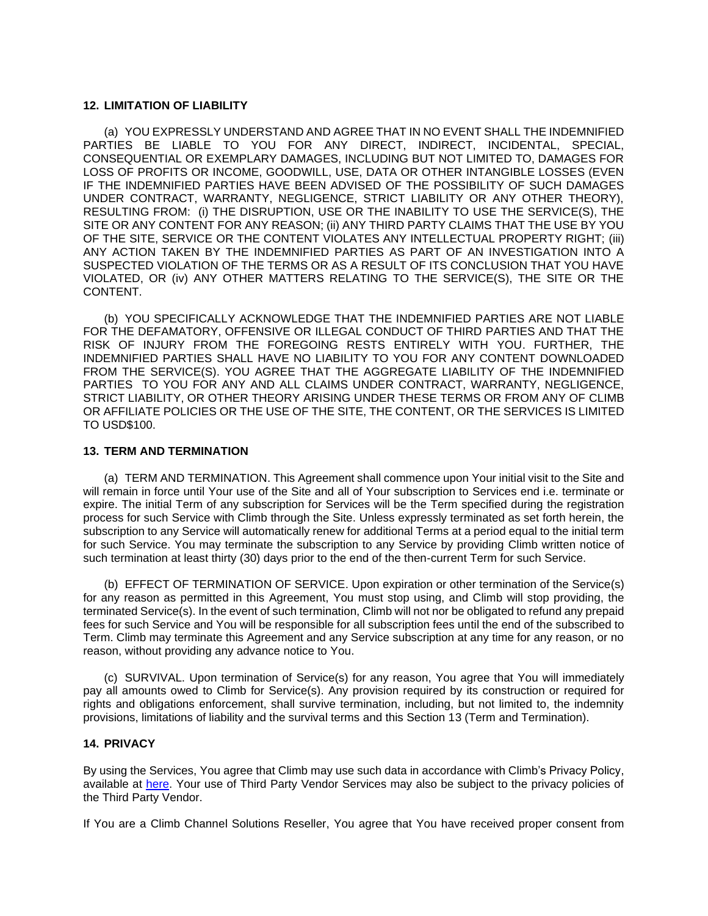### **12. LIMITATION OF LIABILITY**

(a) YOU EXPRESSLY UNDERSTAND AND AGREE THAT IN NO EVENT SHALL THE INDEMNIFIED PARTIES BE LIABLE TO YOU FOR ANY DIRECT, INDIRECT, INCIDENTAL, SPECIAL, CONSEQUENTIAL OR EXEMPLARY DAMAGES, INCLUDING BUT NOT LIMITED TO, DAMAGES FOR LOSS OF PROFITS OR INCOME, GOODWILL, USE, DATA OR OTHER INTANGIBLE LOSSES (EVEN IF THE INDEMNIFIED PARTIES HAVE BEEN ADVISED OF THE POSSIBILITY OF SUCH DAMAGES UNDER CONTRACT, WARRANTY, NEGLIGENCE, STRICT LIABILITY OR ANY OTHER THEORY), RESULTING FROM: (i) THE DISRUPTION, USE OR THE INABILITY TO USE THE SERVICE(S), THE SITE OR ANY CONTENT FOR ANY REASON; (ii) ANY THIRD PARTY CLAIMS THAT THE USE BY YOU OF THE SITE, SERVICE OR THE CONTENT VIOLATES ANY INTELLECTUAL PROPERTY RIGHT; (iii) ANY ACTION TAKEN BY THE INDEMNIFIED PARTIES AS PART OF AN INVESTIGATION INTO A SUSPECTED VIOLATION OF THE TERMS OR AS A RESULT OF ITS CONCLUSION THAT YOU HAVE VIOLATED, OR (iv) ANY OTHER MATTERS RELATING TO THE SERVICE(S), THE SITE OR THE CONTENT.

(b) YOU SPECIFICALLY ACKNOWLEDGE THAT THE INDEMNIFIED PARTIES ARE NOT LIABLE FOR THE DEFAMATORY, OFFENSIVE OR ILLEGAL CONDUCT OF THIRD PARTIES AND THAT THE RISK OF INJURY FROM THE FOREGOING RESTS ENTIRELY WITH YOU. FURTHER, THE INDEMNIFIED PARTIES SHALL HAVE NO LIABILITY TO YOU FOR ANY CONTENT DOWNLOADED FROM THE SERVICE(S). YOU AGREE THAT THE AGGREGATE LIABILITY OF THE INDEMNIFIED PARTIES TO YOU FOR ANY AND ALL CLAIMS UNDER CONTRACT, WARRANTY, NEGLIGENCE, STRICT LIABILITY, OR OTHER THEORY ARISING UNDER THESE TERMS OR FROM ANY OF CLIMB OR AFFILIATE POLICIES OR THE USE OF THE SITE, THE CONTENT, OR THE SERVICES IS LIMITED TO USD\$100.

#### **13. TERM AND TERMINATION**

(a) TERM AND TERMINATION. This Agreement shall commence upon Your initial visit to the Site and will remain in force until Your use of the Site and all of Your subscription to Services end i.e. terminate or expire. The initial Term of any subscription for Services will be the Term specified during the registration process for such Service with Climb through the Site. Unless expressly terminated as set forth herein, the subscription to any Service will automatically renew for additional Terms at a period equal to the initial term for such Service. You may terminate the subscription to any Service by providing Climb written notice of such termination at least thirty (30) days prior to the end of the then-current Term for such Service.

(b) EFFECT OF TERMINATION OF SERVICE. Upon expiration or other termination of the Service(s) for any reason as permitted in this Agreement, You must stop using, and Climb will stop providing, the terminated Service(s). In the event of such termination, Climb will not nor be obligated to refund any prepaid fees for such Service and You will be responsible for all subscription fees until the end of the subscribed to Term. Climb may terminate this Agreement and any Service subscription at any time for any reason, or no reason, without providing any advance notice to You.

(c) SURVIVAL. Upon termination of Service(s) for any reason, You agree that You will immediately pay all amounts owed to Climb for Service(s). Any provision required by its construction or required for rights and obligations enforcement, shall survive termination, including, but not limited to, the indemnity provisions, limitations of liability and the survival terms and this Section 13 (Term and Termination).

## **14. PRIVACY**

By using the Services, You agree that Climb may use such data in accordance with Climb's Privacy Policy, available at [here.](https://www.climbcs.com/site/content/terms) Your use of Third Party Vendor Services may also be subject to the privacy policies of the Third Party Vendor.

If You are a Climb Channel Solutions Reseller, You agree that You have received proper consent from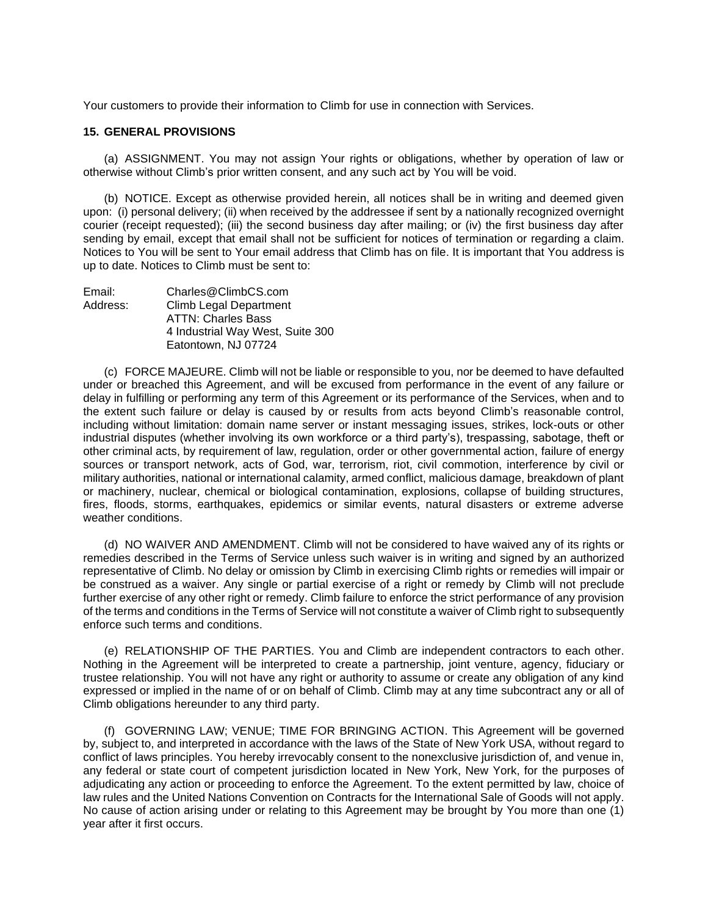Your customers to provide their information to Climb for use in connection with Services.

#### **15. GENERAL PROVISIONS**

(a) ASSIGNMENT. You may not assign Your rights or obligations, whether by operation of law or otherwise without Climb's prior written consent, and any such act by You will be void.

(b) NOTICE. Except as otherwise provided herein, all notices shall be in writing and deemed given upon: (i) personal delivery; (ii) when received by the addressee if sent by a nationally recognized overnight courier (receipt requested); (iii) the second business day after mailing; or (iv) the first business day after sending by email, except that email shall not be sufficient for notices of termination or regarding a claim. Notices to You will be sent to Your email address that Climb has on file. It is important that You address is up to date. Notices to Climb must be sent to:

| Email:   | Charles@ClimbCS.com              |
|----------|----------------------------------|
| Address: | Climb Legal Department           |
|          | <b>ATTN: Charles Bass</b>        |
|          | 4 Industrial Way West, Suite 300 |
|          | Eatontown, NJ 07724              |

(c) FORCE MAJEURE. Climb will not be liable or responsible to you, nor be deemed to have defaulted under or breached this Agreement, and will be excused from performance in the event of any failure or delay in fulfilling or performing any term of this Agreement or its performance of the Services, when and to the extent such failure or delay is caused by or results from acts beyond Climb's reasonable control, including without limitation: domain name server or instant messaging issues, strikes, lock-outs or other industrial disputes (whether involving its own workforce or a third party's), trespassing, sabotage, theft or other criminal acts, by requirement of law, regulation, order or other governmental action, failure of energy sources or transport network, acts of God, war, terrorism, riot, civil commotion, interference by civil or military authorities, national or international calamity, armed conflict, malicious damage, breakdown of plant or machinery, nuclear, chemical or biological contamination, explosions, collapse of building structures, fires, floods, storms, earthquakes, epidemics or similar events, natural disasters or extreme adverse weather conditions.

(d) NO WAIVER AND AMENDMENT. Climb will not be considered to have waived any of its rights or remedies described in the Terms of Service unless such waiver is in writing and signed by an authorized representative of Climb. No delay or omission by Climb in exercising Climb rights or remedies will impair or be construed as a waiver. Any single or partial exercise of a right or remedy by Climb will not preclude further exercise of any other right or remedy. Climb failure to enforce the strict performance of any provision of the terms and conditions in the Terms of Service will not constitute a waiver of Climb right to subsequently enforce such terms and conditions.

(e) RELATIONSHIP OF THE PARTIES. You and Climb are independent contractors to each other. Nothing in the Agreement will be interpreted to create a partnership, joint venture, agency, fiduciary or trustee relationship. You will not have any right or authority to assume or create any obligation of any kind expressed or implied in the name of or on behalf of Climb. Climb may at any time subcontract any or all of Climb obligations hereunder to any third party.

(f) GOVERNING LAW; VENUE; TIME FOR BRINGING ACTION. This Agreement will be governed by, subject to, and interpreted in accordance with the laws of the State of New York USA, without regard to conflict of laws principles. You hereby irrevocably consent to the nonexclusive jurisdiction of, and venue in, any federal or state court of competent jurisdiction located in New York, New York, for the purposes of adjudicating any action or proceeding to enforce the Agreement. To the extent permitted by law, choice of law rules and the United Nations Convention on Contracts for the International Sale of Goods will not apply. No cause of action arising under or relating to this Agreement may be brought by You more than one (1) year after it first occurs.